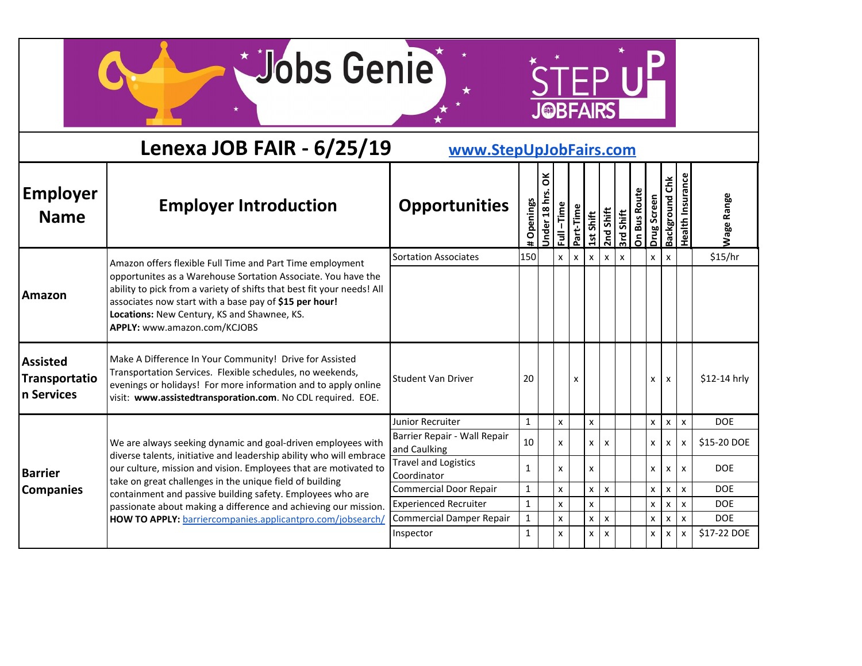$*$ 

STEP UP

|                                                | Lenexa JOB FAIR - 6/25/19                                                                                                                                                                                                                                                        | www.StepUpJobFairs.com                       |              |                 |                                      |              |              |                           |           |                     |              |                           |                         |                   |
|------------------------------------------------|----------------------------------------------------------------------------------------------------------------------------------------------------------------------------------------------------------------------------------------------------------------------------------|----------------------------------------------|--------------|-----------------|--------------------------------------|--------------|--------------|---------------------------|-----------|---------------------|--------------|---------------------------|-------------------------|-------------------|
| <b>Employer</b><br><b>Name</b>                 | <b>Employer Introduction</b>                                                                                                                                                                                                                                                     | <b>Opportunities</b>                         | Openings     | ă<br>Jnder 18 h | $-Time$<br>$\overline{\overline{z}}$ | Part-Time    | 1st Shift    | 2nd Shift                 | 3rd Shift | <b>On Bus Route</b> | Drug Screen  | <b>Background Chk</b>     | <b>Health Insurance</b> | <b>Wage Range</b> |
|                                                | Amazon offers flexible Full Time and Part Time employment                                                                                                                                                                                                                        | <b>Sortation Associates</b>                  | 150          |                 | X                                    | $\mathsf{x}$ | $\mathsf{x}$ | $\mathsf{x}$              | X         |                     | X            | $\boldsymbol{\mathsf{x}}$ |                         | \$15/hr           |
| Amazon                                         | opportunites as a Warehouse Sortation Associate. You have the<br>ability to pick from a variety of shifts that best fit your needs! All<br>associates now start with a base pay of \$15 per hour!<br>Locations: New Century, KS and Shawnee, KS.<br>APPLY: www.amazon.com/KCJOBS |                                              |              |                 |                                      |              |              |                           |           |                     |              |                           |                         |                   |
| <b>Assisted</b><br>Transportatio<br>n Services | Make A Difference In Your Community! Drive for Assisted<br>Transportation Services. Flexible schedules, no weekends,<br>evenings or holidays! For more information and to apply online<br>visit: www.assistedtransporation.com. No CDL required. EOE.                            | <b>Student Van Driver</b>                    | 20           |                 |                                      | X            |              |                           |           |                     | x            | X                         |                         | \$12-14 hrly      |
|                                                |                                                                                                                                                                                                                                                                                  | <b>Junior Recruiter</b>                      | $\mathbf{1}$ |                 | X                                    |              | X            |                           |           |                     | $\mathsf{x}$ | $\boldsymbol{\mathsf{x}}$ | X                       | <b>DOE</b>        |
|                                                | We are always seeking dynamic and goal-driven employees with<br>diverse talents, initiative and leadership ability who will embrace                                                                                                                                              | Barrier Repair - Wall Repair<br>and Caulking | 10           |                 | X                                    |              | X            | $\mathsf{x}$              |           |                     | $\mathsf{x}$ | $\mathsf{x}$              | X                       | \$15-20 DOE       |
| <b>Barrier</b>                                 | our culture, mission and vision. Employees that are motivated to<br>take on great challenges in the unique field of building                                                                                                                                                     | <b>Travel and Logistics</b><br>Coordinator   | $\mathbf{1}$ |                 | x                                    |              | X            |                           |           |                     | $\mathsf{x}$ | $\mathsf{x}$              | X                       | <b>DOE</b>        |
| <b>Companies</b>                               | containment and passive building safety. Employees who are                                                                                                                                                                                                                       | <b>Commercial Door Repair</b>                | $\mathbf{1}$ |                 | x                                    |              | x            | $\boldsymbol{\mathsf{x}}$ |           |                     | X            | $\boldsymbol{\mathsf{x}}$ | $\pmb{\times}$          | <b>DOE</b>        |
|                                                | passionate about making a difference and achieving our mission.                                                                                                                                                                                                                  | <b>Experienced Recruiter</b>                 | $\mathbf{1}$ |                 | X                                    |              | X            |                           |           |                     | $\mathsf{x}$ | $\boldsymbol{\mathsf{x}}$ | X                       | <b>DOE</b>        |
|                                                | HOW TO APPLY: barriercompanies.applicantpro.com/jobsearch/                                                                                                                                                                                                                       | <b>Commercial Damper Repair</b>              | $\mathbf{1}$ |                 | x                                    |              | x            | $\boldsymbol{\mathsf{x}}$ |           |                     | x            | $\boldsymbol{\mathsf{x}}$ | X                       | <b>DOE</b>        |
|                                                |                                                                                                                                                                                                                                                                                  | Inspector                                    | 1            |                 | X                                    |              | X            | $\boldsymbol{\mathsf{x}}$ |           |                     | x            | $\boldsymbol{\mathsf{x}}$ | X                       | \$17-22 DOE       |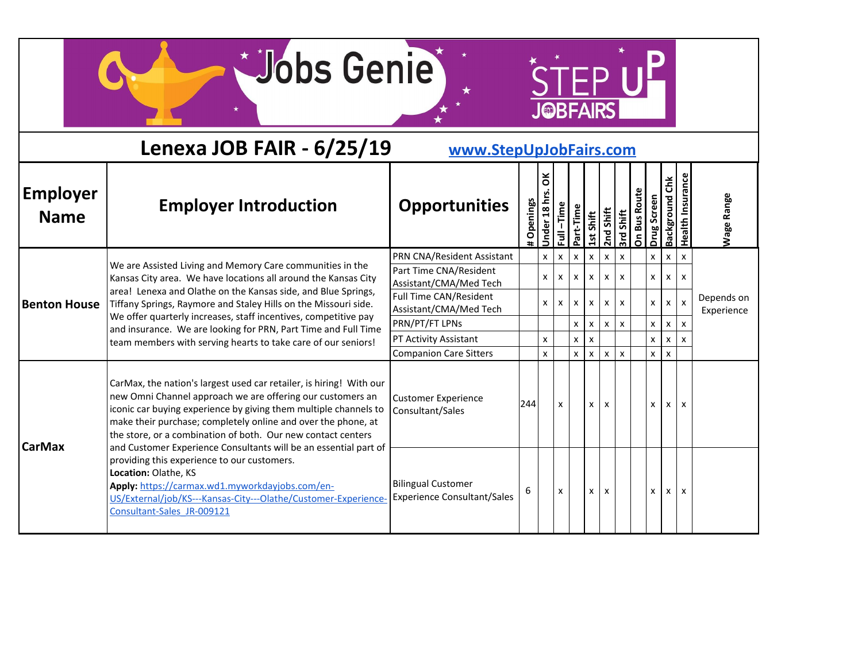STEP UP

|                                | Lenexa JOB FAIR - 6/25/19                                                                                                                                                                                                                                                                                                              | www.StepUpJobFairs.com                                                     |          |                 |              |                              |                              |                   |                           |                     |                   |                           |                         |                          |
|--------------------------------|----------------------------------------------------------------------------------------------------------------------------------------------------------------------------------------------------------------------------------------------------------------------------------------------------------------------------------------|----------------------------------------------------------------------------|----------|-----------------|--------------|------------------------------|------------------------------|-------------------|---------------------------|---------------------|-------------------|---------------------------|-------------------------|--------------------------|
| <b>Employer</b><br><b>Name</b> | <b>Employer Introduction</b>                                                                                                                                                                                                                                                                                                           | <b>Opportunities</b>                                                       | Openings | ŏ<br>Jnder 18 h | $-Time$<br>Ī | Part-Time                    | 1st Shift                    | 2nd Shift         | 3rd Shift                 | <b>On Bus Route</b> | Drug Screen       | <b>Background Chk</b>     | <b>Health Insurance</b> | <b>Nage Range</b>        |
|                                | We are Assisted Living and Memory Care communities in the                                                                                                                                                                                                                                                                              | PRN CNA/Resident Assistant<br>Part Time CNA/Resident                       |          | $\mathsf{x}$    | X            | $\mathsf{x}$                 | $\mathsf{x}$                 | X                 | $\boldsymbol{\mathsf{x}}$ |                     | $\mathsf{x}$      | X                         | X                       |                          |
| <b>Benton House</b>            | Kansas City area. We have locations all around the Kansas City<br>area! Lenexa and Olathe on the Kansas side, and Blue Springs,<br>Tiffany Springs, Raymore and Staley Hills on the Missouri side.                                                                                                                                     | Assistant/CMA/Med Tech<br>Full Time CAN/Resident<br>Assistant/CMA/Med Tech |          | <b>X</b><br>X   | x<br>x       | $\mathsf{x}$<br>$\mathsf{x}$ | $\mathsf{x}$<br>$\mathsf{x}$ | x<br>$\mathsf{x}$ | X<br>X                    |                     | x<br>$\mathsf{x}$ | X<br>X                    | X<br>X                  | Depends on<br>Experience |
|                                | We offer quarterly increases, staff incentives, competitive pay<br>and insurance. We are looking for PRN, Part Time and Full Time                                                                                                                                                                                                      | PRN/PT/FT LPNs                                                             |          |                 |              | $\mathsf{x}$                 | $\mathsf{x}$                 | X                 | X                         |                     | x                 | X                         | X                       |                          |
|                                | team members with serving hearts to take care of our seniors!                                                                                                                                                                                                                                                                          | PT Activity Assistant                                                      |          | x               |              | $\mathsf{x}$                 | $\boldsymbol{\mathsf{x}}$    |                   |                           |                     | X                 | X                         | x                       |                          |
|                                |                                                                                                                                                                                                                                                                                                                                        | <b>Companion Care Sitters</b>                                              |          | x               |              | $\mathsf{x}$                 | $\mathsf{x}$                 | $\mathbf{x}$      | $\mathsf{x}$              |                     | $\mathsf{x}$      | $\boldsymbol{\mathsf{x}}$ |                         |                          |
| <b>CarMax</b>                  | CarMax, the nation's largest used car retailer, is hiring! With our<br>new Omni Channel approach we are offering our customers an<br>iconic car buying experience by giving them multiple channels to<br>make their purchase; completely online and over the phone, at<br>the store, or a combination of both. Our new contact centers | <b>Customer Experience</b><br>Consultant/Sales                             | 244      |                 | X            |                              | X                            | $\mathbf{x}$      |                           |                     | X                 | x                         | X                       |                          |
|                                | and Customer Experience Consultants will be an essential part of<br>providing this experience to our customers.<br>Location: Olathe, KS<br>Apply: https://carmax.wd1.myworkdayjobs.com/en-<br>US/External/job/KS---Kansas-City---Olathe/Customer-Experience-<br>Consultant-Sales JR-009121                                             | <b>Bilingual Customer</b><br><b>Experience Consultant/Sales</b>            | 6        |                 | X            |                              | X                            | X                 |                           |                     | X                 | x                         | X                       |                          |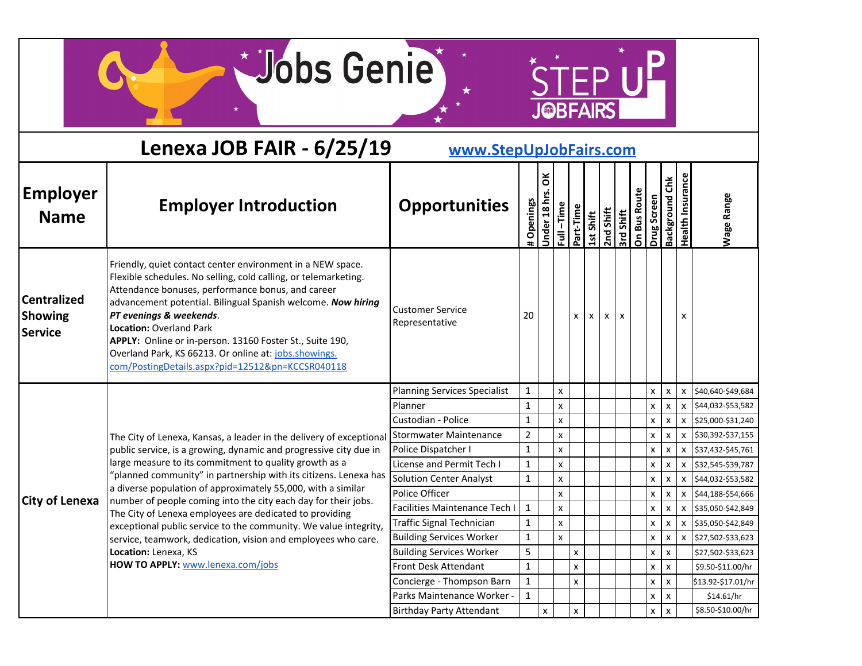$*$ 

STEP UP

|                                                 | Lenexa JOB FAIR - 6/25/19                                                                                                                                                                                                                                                                                                                                                                                                                                                                | www.StepUpJobFairs.com                                             |                   |                           |                    |           |           |           |                           |                     |             |                           |                           |                                        |
|-------------------------------------------------|------------------------------------------------------------------------------------------------------------------------------------------------------------------------------------------------------------------------------------------------------------------------------------------------------------------------------------------------------------------------------------------------------------------------------------------------------------------------------------------|--------------------------------------------------------------------|-------------------|---------------------------|--------------------|-----------|-----------|-----------|---------------------------|---------------------|-------------|---------------------------|---------------------------|----------------------------------------|
| <b>Employer</b><br><b>Name</b>                  | <b>Employer Introduction</b>                                                                                                                                                                                                                                                                                                                                                                                                                                                             | <b>Opportunities</b>                                               | Openings          | ă<br><b>Jnder 18 hrs.</b> | Full-Time          | Part-Time | 1st Shift | 2nd Shift | 3rd Shift                 | <b>On Bus Route</b> | Drug Screen | Background Chk            | <b>Health Insurance</b>   | <b>Nage Range</b>                      |
| <b>Centralized</b><br>Showing<br><b>Service</b> | Friendly, quiet contact center environment in a NEW space.<br>Flexible schedules. No selling, cold calling, or telemarketing.<br>Attendance bonuses, performance bonus, and career<br>advancement potential. Bilingual Spanish welcome. Now hiring<br>PT evenings & weekends.<br><b>Location: Overland Park</b><br>APPLY: Online or in-person. 13160 Foster St., Suite 190,<br>Overland Park, KS 66213. Or online at: jobs.showings.<br>com/PostingDetails.aspx?pid=12512&pn=KCCSR040118 | <b>Customer Service</b><br>Representative                          | 20                |                           |                    | X         | X         | x         | $\boldsymbol{\mathsf{x}}$ |                     |             |                           | x                         |                                        |
|                                                 |                                                                                                                                                                                                                                                                                                                                                                                                                                                                                          | <b>Planning Services Specialist</b>                                | $\mathbf{1}$      |                           | $\pmb{\mathsf{x}}$ |           |           |           |                           |                     | X           | $\pmb{\chi}$              | $\pmb{\mathsf{X}}$        | \$40,640-\$49,684                      |
|                                                 |                                                                                                                                                                                                                                                                                                                                                                                                                                                                                          | Planner                                                            | $\mathbf 1$       |                           | $\pmb{\mathsf{x}}$ |           |           |           |                           |                     | X           | $\pmb{\times}$            | X                         | \$44,032-\$53,582                      |
|                                                 |                                                                                                                                                                                                                                                                                                                                                                                                                                                                                          | Custodian - Police                                                 | $\mathbf{1}$      |                           | X                  |           |           |           |                           |                     | x           | $\pmb{\times}$            | X                         | \$25,000-\$31,240                      |
|                                                 | The City of Lenexa, Kansas, a leader in the delivery of exceptional                                                                                                                                                                                                                                                                                                                                                                                                                      | Stormwater Maintenance                                             | $\overline{2}$    |                           | $\pmb{\mathsf{x}}$ |           |           |           |                           |                     | X           | $\pmb{\mathsf{x}}$        | $\pmb{\mathsf{x}}$        | \$30,392-\$37,155                      |
|                                                 | public service, is a growing, dynamic and progressive city due in                                                                                                                                                                                                                                                                                                                                                                                                                        | Police Dispatcher I                                                | $\mathbf{1}$      |                           | $\pmb{\mathsf{x}}$ |           |           |           |                           |                     | x           | X                         | $\pmb{\chi}$              | \$37,432-\$45,761                      |
|                                                 | large measure to its commitment to quality growth as a<br>"planned community" in partnership with its citizens. Lenexa has                                                                                                                                                                                                                                                                                                                                                               | License and Permit Tech I                                          | $\mathbf{1}$      |                           | $\pmb{\mathsf{x}}$ |           |           |           |                           |                     | x           | x                         | X                         | \$32,545-\$39,787                      |
|                                                 | a diverse population of approximately 55,000, with a similar                                                                                                                                                                                                                                                                                                                                                                                                                             | <b>Solution Center Analyst</b>                                     | $\mathbf{1}$      |                           | $\pmb{\mathsf{x}}$ |           |           |           |                           |                     | X           | $\pmb{\mathsf{x}}$        | $\pmb{\chi}$              | \$44,032-\$53,582                      |
| <b>City of Lenexa</b>                           | number of people coming into the city each day for their jobs.                                                                                                                                                                                                                                                                                                                                                                                                                           | Police Officer                                                     |                   |                           | X                  |           |           |           |                           |                     | X           | X                         | X                         | \$44,188-\$54,666                      |
|                                                 | The City of Lenexa employees are dedicated to providing                                                                                                                                                                                                                                                                                                                                                                                                                                  | Facilities Maintenance Tech I                                      | $\mathbf{1}$      |                           | $\pmb{\times}$     |           |           |           |                           |                     | x           | $\boldsymbol{\mathsf{x}}$ |                           | X 535,050-\$42,849                     |
|                                                 | exceptional public service to the community. We value integrity,                                                                                                                                                                                                                                                                                                                                                                                                                         | <b>Traffic Signal Technician</b>                                   | $\mathbf{1}$      |                           | x                  |           |           |           |                           |                     | x           | X                         | X                         | \$35,050-\$42,849                      |
|                                                 | service, teamwork, dedication, vision and employees who care.<br>Location: Lenexa, KS                                                                                                                                                                                                                                                                                                                                                                                                    | <b>Building Services Worker</b><br><b>Building Services Worker</b> | $\mathbf{1}$<br>5 |                           | $\pmb{\times}$     |           |           |           |                           |                     | X           | X                         | $\boldsymbol{\mathsf{x}}$ | \$27,502-\$33,623                      |
|                                                 | HOW TO APPLY: www.lenexa.com/jobs                                                                                                                                                                                                                                                                                                                                                                                                                                                        | Front Desk Attendant                                               | $\mathbf{1}$      |                           |                    | X<br>X    |           |           |                           |                     | X<br>X      | X<br>$\pmb{\times}$       |                           | \$27,502-\$33,623<br>\$9.50-\$11.00/hr |
|                                                 |                                                                                                                                                                                                                                                                                                                                                                                                                                                                                          | Concierge - Thompson Barn                                          | $\mathbf{1}$      |                           |                    | X         |           |           |                           |                     | x           | $\pmb{\chi}$              |                           | \$13.92-\$17.01/hr                     |
|                                                 |                                                                                                                                                                                                                                                                                                                                                                                                                                                                                          | Parks Maintenance Worker -                                         | $\mathbf{1}$      |                           |                    |           |           |           |                           |                     | x           | $\pmb{\chi}$              |                           | \$14.61/hr                             |
|                                                 |                                                                                                                                                                                                                                                                                                                                                                                                                                                                                          | <b>Birthday Party Attendant</b>                                    |                   | $\pmb{\mathsf{x}}$        |                    | x         |           |           |                           |                     | X           | $\mathbf{x}$              |                           | \$8.50-\$10.00/hr                      |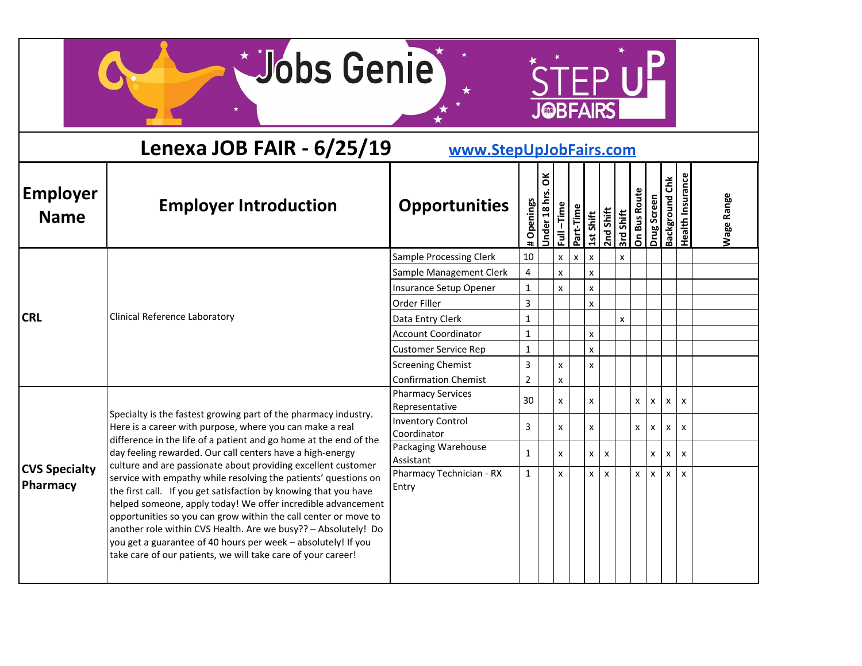$*$ 

STEP UP

|                                         | Lenexa JOB FAIR - 6/25/19                                                                                                                                                                                                                                                                                                                                                                                                                                                 | www.StepUpJobFairs.com                     |              |                 |                      |           |                           |           |              |              |              |                       |                           |                   |
|-----------------------------------------|---------------------------------------------------------------------------------------------------------------------------------------------------------------------------------------------------------------------------------------------------------------------------------------------------------------------------------------------------------------------------------------------------------------------------------------------------------------------------|--------------------------------------------|--------------|-----------------|----------------------|-----------|---------------------------|-----------|--------------|--------------|--------------|-----------------------|---------------------------|-------------------|
| <b>Employer</b><br><b>Name</b>          | <b>Employer Introduction</b>                                                                                                                                                                                                                                                                                                                                                                                                                                              | <b>Opportunities</b>                       | Openings     | ă<br>Under 18 h | $-Time$<br>$\bar{a}$ | Part-Time | 1st Shift                 | 2nd Shift | 3rd Shift    | On Bus Route | Drug Screen  | <b>Background Chk</b> | <b>Health Insurance</b>   | <b>Wage Range</b> |
|                                         |                                                                                                                                                                                                                                                                                                                                                                                                                                                                           | <b>Sample Processing Clerk</b>             | 10           |                 | $\pmb{\mathsf{x}}$   | X         | $\boldsymbol{\mathsf{x}}$ |           |              |              |              |                       |                           |                   |
|                                         |                                                                                                                                                                                                                                                                                                                                                                                                                                                                           | Sample Management Clerk                    | 4            |                 | $\pmb{\mathsf{x}}$   |           | X                         |           |              |              |              |                       |                           |                   |
|                                         |                                                                                                                                                                                                                                                                                                                                                                                                                                                                           | Insurance Setup Opener                     | $\mathbf{1}$ |                 | $\mathsf{x}$         |           | X                         |           |              |              |              |                       |                           |                   |
|                                         |                                                                                                                                                                                                                                                                                                                                                                                                                                                                           | Order Filler                               | 3            |                 |                      |           | X                         |           |              |              |              |                       |                           |                   |
| <b>CRL</b>                              | Clinical Reference Laboratory                                                                                                                                                                                                                                                                                                                                                                                                                                             | Data Entry Clerk                           | 1            |                 |                      |           |                           |           | $\mathsf{x}$ |              |              |                       |                           |                   |
|                                         |                                                                                                                                                                                                                                                                                                                                                                                                                                                                           | <b>Account Coordinator</b>                 | 1            |                 |                      |           | X                         |           |              |              |              |                       |                           |                   |
|                                         |                                                                                                                                                                                                                                                                                                                                                                                                                                                                           | <b>Customer Service Rep</b>                | 1            |                 |                      |           | X                         |           |              |              |              |                       |                           |                   |
|                                         |                                                                                                                                                                                                                                                                                                                                                                                                                                                                           | <b>Screening Chemist</b>                   | 3            |                 | X                    |           | X                         |           |              |              |              |                       |                           |                   |
|                                         |                                                                                                                                                                                                                                                                                                                                                                                                                                                                           | <b>Confirmation Chemist</b>                | 2            |                 | X                    |           |                           |           |              |              |              |                       |                           |                   |
|                                         |                                                                                                                                                                                                                                                                                                                                                                                                                                                                           | <b>Pharmacy Services</b><br>Representative | 30           |                 | $\mathsf{x}$         |           | X                         |           |              | X            | x            | X                     | $\boldsymbol{\mathsf{x}}$ |                   |
|                                         | Specialty is the fastest growing part of the pharmacy industry.<br>Here is a career with purpose, where you can make a real                                                                                                                                                                                                                                                                                                                                               | <b>Inventory Control</b><br>Coordinator    | 3            |                 | $\mathsf{x}$         |           | X                         |           |              | X            | X            | X                     | $\boldsymbol{\mathsf{x}}$ |                   |
|                                         | difference in the life of a patient and go home at the end of the<br>day feeling rewarded. Our call centers have a high-energy<br>culture and are passionate about providing excellent customer                                                                                                                                                                                                                                                                           | Packaging Warehouse<br>Assistant           | 1            |                 | X                    |           | X                         | x         |              |              | x            | X                     | $\boldsymbol{\mathsf{x}}$ |                   |
| <b>CVS Specialty</b><br><b>Pharmacy</b> | service with empathy while resolving the patients' questions on<br>the first call. If you get satisfaction by knowing that you have<br>helped someone, apply today! We offer incredible advancement<br>opportunities so you can grow within the call center or move to<br>another role within CVS Health. Are we busy?? - Absolutely! Do<br>you get a guarantee of 40 hours per week - absolutely! If you<br>take care of our patients, we will take care of your career! | Pharmacy Technician - RX<br>Entry          | $\mathbf{1}$ |                 | X                    |           | X                         | x         |              | X            | $\mathsf{x}$ | $\mathsf{x}$          | $\mathbf{x}$              |                   |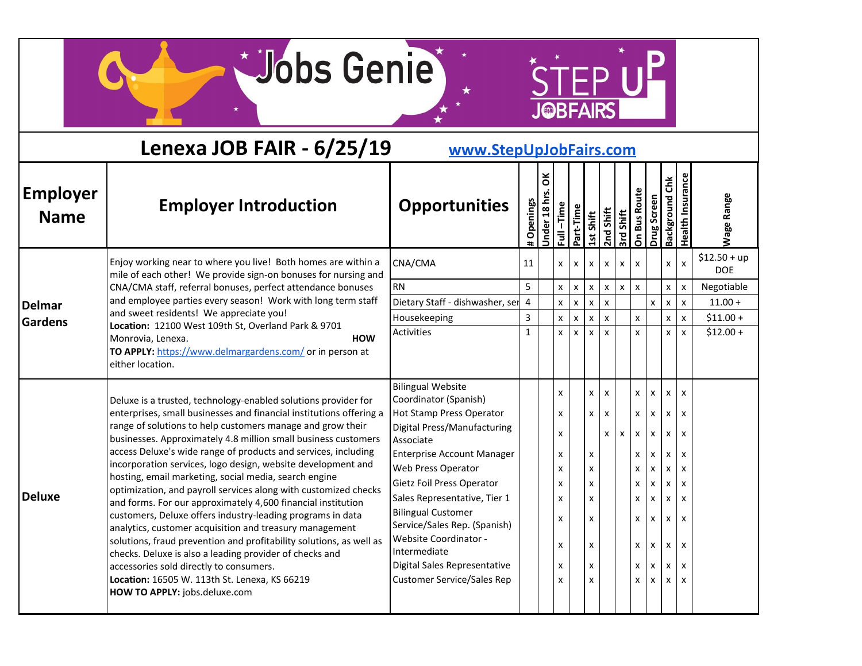STEP UP

|                                | Lenexa JOB FAIR - 6/25/19                                                                                                                                                                                                                                                                                                                                                                                                                                                                                                                                                                                                                                                                                                                                                                                                                                                                                                                                                                   | www.StepUpJobFairs.com                                                                                                                                                                                                                                                                                                                                                                                                       |              |                 |                                                     |                    |                                                |                           |                           |                                                     |                                                                                                                                                       |                                                     |                                                                                                     |                             |
|--------------------------------|---------------------------------------------------------------------------------------------------------------------------------------------------------------------------------------------------------------------------------------------------------------------------------------------------------------------------------------------------------------------------------------------------------------------------------------------------------------------------------------------------------------------------------------------------------------------------------------------------------------------------------------------------------------------------------------------------------------------------------------------------------------------------------------------------------------------------------------------------------------------------------------------------------------------------------------------------------------------------------------------|------------------------------------------------------------------------------------------------------------------------------------------------------------------------------------------------------------------------------------------------------------------------------------------------------------------------------------------------------------------------------------------------------------------------------|--------------|-----------------|-----------------------------------------------------|--------------------|------------------------------------------------|---------------------------|---------------------------|-----------------------------------------------------|-------------------------------------------------------------------------------------------------------------------------------------------------------|-----------------------------------------------------|-----------------------------------------------------------------------------------------------------|-----------------------------|
| <b>Employer</b><br><b>Name</b> | <b>Employer Introduction</b>                                                                                                                                                                                                                                                                                                                                                                                                                                                                                                                                                                                                                                                                                                                                                                                                                                                                                                                                                                | <b>Opportunities</b>                                                                                                                                                                                                                                                                                                                                                                                                         | # Openings   | ă<br>Jnder 18 h | $Full - Time$                                       | Part-Time          | 1st Shift                                      | 2nd Shift                 | 3rd Shift                 | <b>On Bus Route</b>                                 | Drug Screen                                                                                                                                           | <b>Background Chk</b>                               | <b>Health Insurance</b>                                                                             | Wage Range                  |
|                                | Enjoy working near to where you live! Both homes are within a<br>mile of each other! We provide sign-on bonuses for nursing and                                                                                                                                                                                                                                                                                                                                                                                                                                                                                                                                                                                                                                                                                                                                                                                                                                                             | CNA/CMA                                                                                                                                                                                                                                                                                                                                                                                                                      | 11           |                 | $\mathsf{x}$                                        | $\mathsf{x}$       | $\mathsf{x}$                                   | X                         | X                         | $\boldsymbol{\mathsf{x}}$                           |                                                                                                                                                       | x                                                   | X                                                                                                   | $$12.50 + up$<br><b>DOE</b> |
|                                | CNA/CMA staff, referral bonuses, perfect attendance bonuses                                                                                                                                                                                                                                                                                                                                                                                                                                                                                                                                                                                                                                                                                                                                                                                                                                                                                                                                 | <b>RN</b>                                                                                                                                                                                                                                                                                                                                                                                                                    | 5            |                 | X                                                   | $\pmb{\mathsf{X}}$ | $\pmb{\mathsf{X}}$                             | $\boldsymbol{\mathsf{x}}$ | $\pmb{\mathsf{X}}$        | $\pmb{\mathsf{x}}$                                  |                                                                                                                                                       | $\pmb{\times}$                                      | $\pmb{\times}$                                                                                      | Negotiable                  |
| <b>Delmar</b>                  | and employee parties every season! Work with long term staff                                                                                                                                                                                                                                                                                                                                                                                                                                                                                                                                                                                                                                                                                                                                                                                                                                                                                                                                | Dietary Staff - dishwasher, ser                                                                                                                                                                                                                                                                                                                                                                                              | 4            |                 | $\mathsf X$                                         | $\mathsf X$        | $\mathsf X$                                    | $\pmb{\chi}$              |                           |                                                     | $\pmb{\mathsf{x}}$                                                                                                                                    | $\pmb{\chi}$                                        | $\pmb{\mathsf{x}}$                                                                                  | $11.00 +$                   |
| <b>Gardens</b>                 | and sweet residents! We appreciate you!                                                                                                                                                                                                                                                                                                                                                                                                                                                                                                                                                                                                                                                                                                                                                                                                                                                                                                                                                     | Housekeeping                                                                                                                                                                                                                                                                                                                                                                                                                 | 3            |                 | X                                                   | $\pmb{\mathsf{x}}$ | X                                              | X                         |                           | X                                                   |                                                                                                                                                       | x                                                   | X                                                                                                   | $$11.00 +$                  |
|                                | Location: 12100 West 109th St, Overland Park & 9701<br>Monrovia, Lenexa.<br><b>HOW</b><br>TO APPLY: https://www.delmargardens.com/ or in person at<br>either location.                                                                                                                                                                                                                                                                                                                                                                                                                                                                                                                                                                                                                                                                                                                                                                                                                      | Activities                                                                                                                                                                                                                                                                                                                                                                                                                   | $\mathbf{1}$ |                 | $\mathsf{x}$                                        | $\mathsf{x}$       | $\mathsf{x}$                                   | $\boldsymbol{\mathsf{x}}$ |                           | $\mathsf{x}$                                        |                                                                                                                                                       | X                                                   | X                                                                                                   | $$12.00 +$                  |
| <b>Deluxe</b>                  | Deluxe is a trusted, technology-enabled solutions provider for<br>enterprises, small businesses and financial institutions offering a<br>range of solutions to help customers manage and grow their<br>businesses. Approximately 4.8 million small business customers<br>access Deluxe's wide range of products and services, including<br>incorporation services, logo design, website development and<br>hosting, email marketing, social media, search engine<br>optimization, and payroll services along with customized checks<br>and forms. For our approximately 4,600 financial institution<br>customers, Deluxe offers industry-leading programs in data<br>analytics, customer acquisition and treasury management<br>solutions, fraud prevention and profitability solutions, as well as<br>checks. Deluxe is also a leading provider of checks and<br>accessories sold directly to consumers.<br>Location: 16505 W. 113th St. Lenexa, KS 66219<br>HOW TO APPLY: jobs.deluxe.com | <b>Bilingual Website</b><br>Coordinator (Spanish)<br>Hot Stamp Press Operator<br>Digital Press/Manufacturing<br>Associate<br><b>Enterprise Account Manager</b><br>Web Press Operator<br>Gietz Foil Press Operator<br>Sales Representative, Tier 1<br><b>Bilingual Customer</b><br>Service/Sales Rep. (Spanish)<br>Website Coordinator -<br>Intermediate<br>Digital Sales Representative<br><b>Customer Service/Sales Rep</b> |              |                 | X<br>X<br>X<br>X<br>X<br>X<br>X<br>X<br>X<br>X<br>X |                    | X<br>X<br>X<br>X<br>X<br>X<br>X<br>X<br>X<br>x | X<br>X<br>X               | $\boldsymbol{\mathsf{x}}$ | X<br>X<br>X<br>X<br>X<br>X<br>X<br>X<br>X<br>X<br>x | $\pmb{\mathsf{X}}$<br>$\pmb{\mathsf{x}}$<br>$\pmb{\mathsf{x}}$<br>X<br>X<br>X<br>$\pmb{\mathsf{X}}$<br>$\pmb{\times}$<br>$\pmb{\mathsf{x}}$<br>x<br>x | X<br>X<br>X<br>x<br>x<br>x<br>X<br>x<br>x<br>x<br>X | X<br>X<br>$\boldsymbol{\mathsf{x}}$<br>x<br>X<br>x<br>$\boldsymbol{\mathsf{x}}$<br>X<br>x<br>x<br>x |                             |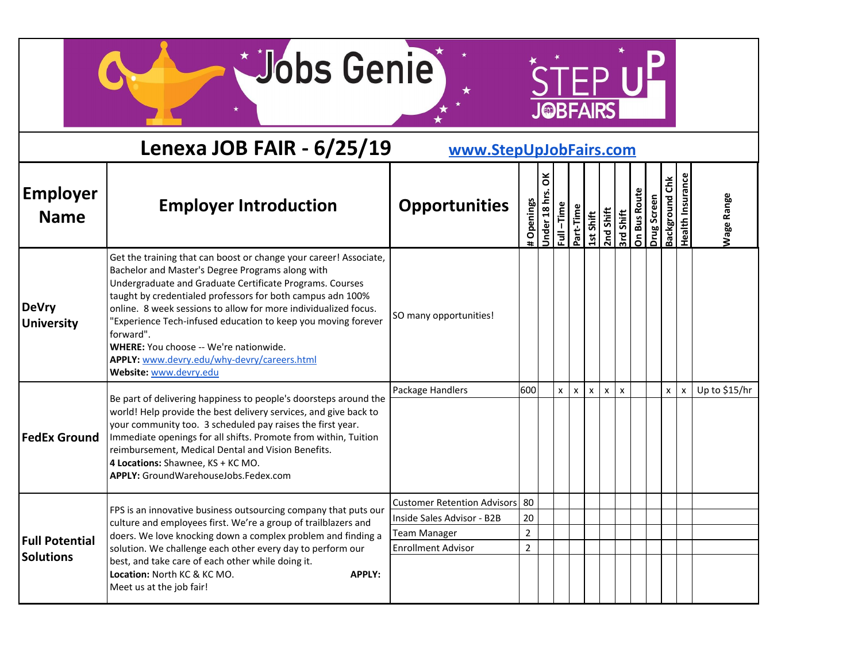$*$ 

STEP UP

|                                | Lenexa JOB FAIR - 6/25/19                                                                                                                                                                                                                                                                                                                                                                                                                                                                                           | www.StepUpJobFairs.com             |                |                  |              |              |              |              |                           |                     |             |                       |                         |                   |
|--------------------------------|---------------------------------------------------------------------------------------------------------------------------------------------------------------------------------------------------------------------------------------------------------------------------------------------------------------------------------------------------------------------------------------------------------------------------------------------------------------------------------------------------------------------|------------------------------------|----------------|------------------|--------------|--------------|--------------|--------------|---------------------------|---------------------|-------------|-----------------------|-------------------------|-------------------|
| <b>Employer</b><br><b>Name</b> | <b>Employer Introduction</b>                                                                                                                                                                                                                                                                                                                                                                                                                                                                                        | <b>Opportunities</b>               | # Openings     | ă<br>Under 18 hı | Full-Time    | Part-Time    | 1st Shift    | 2nd Shift    | 3rd Shift                 | <b>On Bus Route</b> | Drug Screen | <b>Background Chk</b> | <b>Health Insurance</b> | <b>Nage Range</b> |
| DeVry<br><b>University</b>     | Get the training that can boost or change your career! Associate,<br>Bachelor and Master's Degree Programs along with<br>Undergraduate and Graduate Certificate Programs. Courses<br>taught by credentialed professors for both campus adn 100%<br>online. 8 week sessions to allow for more individualized focus.<br>"Experience Tech-infused education to keep you moving forever<br>forward".<br>WHERE: You choose -- We're nationwide.<br>APPLY: www.devry.edu/why-devry/careers.html<br>Website: www.devry.edu | SO many opportunities!             |                |                  |              |              |              |              |                           |                     |             |                       |                         |                   |
| <b>FedEx Ground</b>            | Be part of delivering happiness to people's doorsteps around the<br>world! Help provide the best delivery services, and give back to<br>your community too. 3 scheduled pay raises the first year.<br>Immediate openings for all shifts. Promote from within, Tuition<br>reimbursement, Medical Dental and Vision Benefits.                                                                                                                                                                                         | Package Handlers                   | 600            |                  | $\mathsf{x}$ | $\mathsf{x}$ | $\mathsf{x}$ | $\mathsf{x}$ | $\boldsymbol{\mathsf{x}}$ |                     |             | $\mathsf{x}$          | X                       | Up to \$15/hr     |
|                                | 4 Locations: Shawnee, KS + KC MO.<br>APPLY: GroundWarehouseJobs.Fedex.com                                                                                                                                                                                                                                                                                                                                                                                                                                           |                                    |                |                  |              |              |              |              |                           |                     |             |                       |                         |                   |
|                                | FPS is an innovative business outsourcing company that puts our                                                                                                                                                                                                                                                                                                                                                                                                                                                     | <b>Customer Retention Advisors</b> | 80             |                  |              |              |              |              |                           |                     |             |                       |                         |                   |
|                                | culture and employees first. We're a group of trailblazers and                                                                                                                                                                                                                                                                                                                                                                                                                                                      | Inside Sales Advisor - B2B         | 20             |                  |              |              |              |              |                           |                     |             |                       |                         |                   |
| <b>Full Potential</b>          | doers. We love knocking down a complex problem and finding a                                                                                                                                                                                                                                                                                                                                                                                                                                                        | <b>Team Manager</b>                | $\overline{2}$ |                  |              |              |              |              |                           |                     |             |                       |                         |                   |
| <b>Solutions</b>               | solution. We challenge each other every day to perform our                                                                                                                                                                                                                                                                                                                                                                                                                                                          | <b>Enrollment Advisor</b>          | $\overline{2}$ |                  |              |              |              |              |                           |                     |             |                       |                         |                   |
|                                | best, and take care of each other while doing it.<br>Location: North KC & KC MO.<br><b>APPLY:</b><br>Meet us at the job fair!                                                                                                                                                                                                                                                                                                                                                                                       |                                    |                |                  |              |              |              |              |                           |                     |             |                       |                         |                   |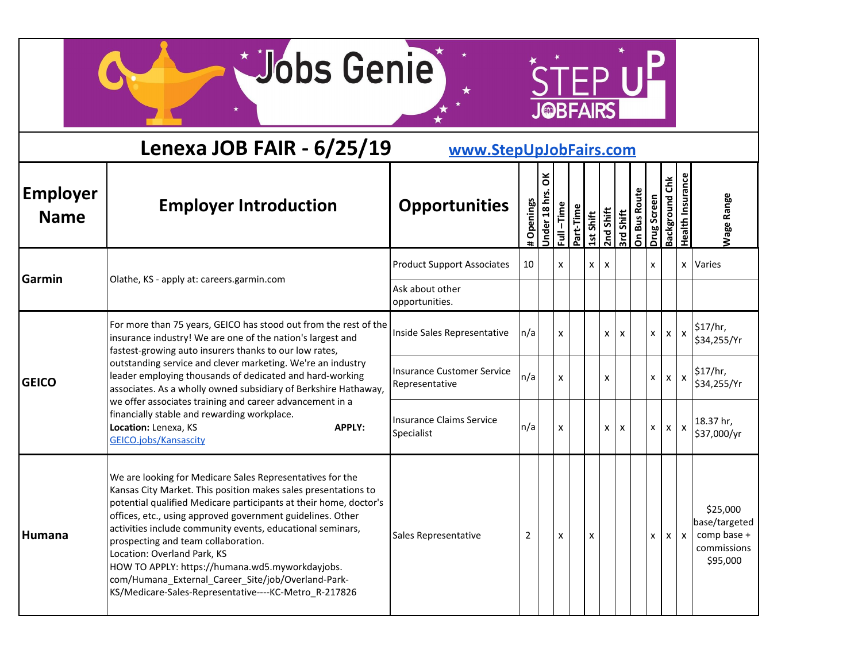$*$ 

STEP UP

|                                | Lenexa JOB FAIR - 6/25/19                                                                                                                                                                                                                                                                                                                                                                                                                                                                                                                                            | www.StepUpJobFairs.com                              |            |                  |              |           |                        |   |                 |              |              |                       |                           |                                                                     |
|--------------------------------|----------------------------------------------------------------------------------------------------------------------------------------------------------------------------------------------------------------------------------------------------------------------------------------------------------------------------------------------------------------------------------------------------------------------------------------------------------------------------------------------------------------------------------------------------------------------|-----------------------------------------------------|------------|------------------|--------------|-----------|------------------------|---|-----------------|--------------|--------------|-----------------------|---------------------------|---------------------------------------------------------------------|
| <b>Employer</b><br><b>Name</b> | <b>Employer Introduction</b>                                                                                                                                                                                                                                                                                                                                                                                                                                                                                                                                         | <b>Opportunities</b>                                | # Openings | ă<br>Jnder 18 hr | Full-Time    | Part-Time | 2nd Shift<br>2nd Shift |   | <b>Hils p.s</b> | On Bus Route | Drug Screen  | <b>Background Chk</b> | <b>Health Insurance</b>   | <b>Nage Range</b>                                                   |
| Garmin                         | Olathe, KS - apply at: careers.garmin.com                                                                                                                                                                                                                                                                                                                                                                                                                                                                                                                            | <b>Product Support Associates</b>                   | 10         |                  | X            |           | X                      | X |                 |              | X            |                       |                           | x Varies                                                            |
|                                |                                                                                                                                                                                                                                                                                                                                                                                                                                                                                                                                                                      | Ask about other<br>opportunities.                   |            |                  |              |           |                        |   |                 |              |              |                       |                           |                                                                     |
|                                | For more than 75 years, GEICO has stood out from the rest of the<br>insurance industry! We are one of the nation's largest and<br>fastest-growing auto insurers thanks to our low rates,                                                                                                                                                                                                                                                                                                                                                                             | Inside Sales Representative                         | n/a        |                  | $\mathsf{x}$ |           |                        | X | X               |              | <b>X</b>     | $\mathsf{x}$          | $\boldsymbol{\mathsf{x}}$ | \$17/hr,<br>\$34,255/Yr                                             |
| <b>GEICO</b>                   | outstanding service and clever marketing. We're an industry<br>leader employing thousands of dedicated and hard-working<br>associates. As a wholly owned subsidiary of Berkshire Hathaway,                                                                                                                                                                                                                                                                                                                                                                           | <b>Insurance Customer Service</b><br>Representative | n/a        |                  | $\mathsf{x}$ |           |                        | X |                 |              | x            | $\mathsf{x}$          | $\mathsf{x}$              | $\frac{1}{2}$ 17/hr,<br>\$34,255/Yr                                 |
|                                | we offer associates training and career advancement in a<br>financially stable and rewarding workplace.<br>Location: Lenexa, KS<br><b>APPLY:</b><br><b>GEICO.jobs/Kansascity</b>                                                                                                                                                                                                                                                                                                                                                                                     | <b>Insurance Claims Service</b><br>Specialist       | n/a        |                  | X            |           |                        | x | X               |              | $\mathsf{x}$ | $x \mid x$            |                           | 18.37 hr,<br>\$37,000/yr                                            |
| Humana                         | We are looking for Medicare Sales Representatives for the<br>Kansas City Market. This position makes sales presentations to<br>potential qualified Medicare participants at their home, doctor's<br>offices, etc., using approved government guidelines. Other<br>activities include community events, educational seminars,<br>prospecting and team collaboration.<br>Location: Overland Park, KS<br>HOW TO APPLY: https://humana.wd5.myworkdayjobs.<br>com/Humana_External_Career_Site/job/Overland-Park-<br>KS/Medicare-Sales-Representative----KC-Metro_R-217826 | Sales Representative                                | 2          |                  | X            |           | x                      |   |                 |              | x            |                       | $x \mid x$                | \$25,000<br>base/targeted<br>comp base +<br>commissions<br>\$95,000 |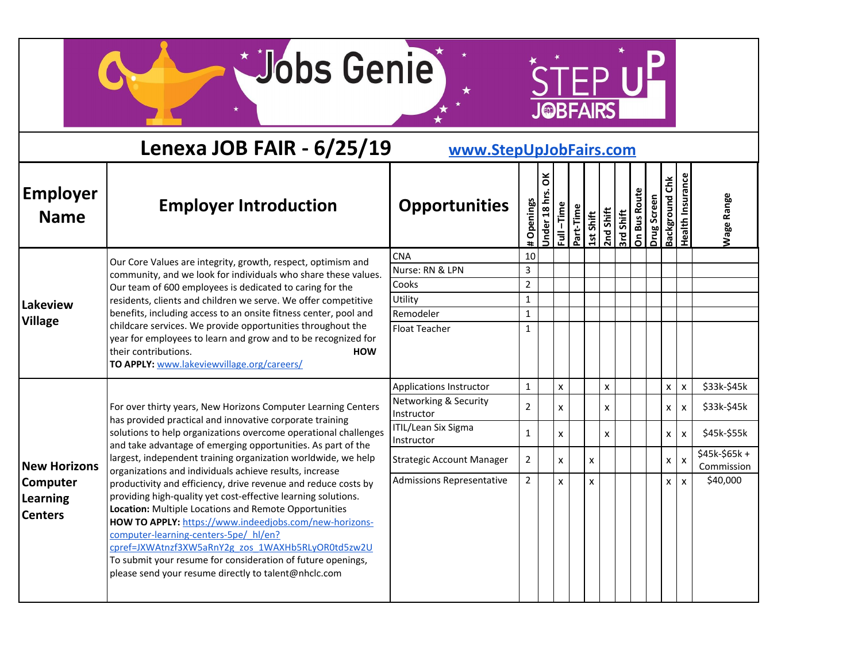$*$ 

STEP UP

|                                               | Lenexa JOB FAIR - 6/25/19                                                                                                                                                                                                                                                                                                                                                                                                                                              | www.StepUpJobFairs.com              |                |                 |              |           |           |              |                  |              |             |                       |                           |                             |
|-----------------------------------------------|------------------------------------------------------------------------------------------------------------------------------------------------------------------------------------------------------------------------------------------------------------------------------------------------------------------------------------------------------------------------------------------------------------------------------------------------------------------------|-------------------------------------|----------------|-----------------|--------------|-----------|-----------|--------------|------------------|--------------|-------------|-----------------------|---------------------------|-----------------------------|
| <b>Employer</b><br><b>Name</b>                | <b>Employer Introduction</b>                                                                                                                                                                                                                                                                                                                                                                                                                                           | <b>Opportunities</b>                | # Openings     | ă<br>Under 18 h | Full-Time    | Part-Time | 1st Shift | $2nd$ Shift  | <b>3rd Shift</b> | On Bus Route | Drug Screen | <b>Background Chk</b> | Health Insurance          | <b>Nage Range</b>           |
|                                               | Our Core Values are integrity, growth, respect, optimism and<br>community, and we look for individuals who share these values.                                                                                                                                                                                                                                                                                                                                         | <b>CNA</b><br>Nurse: RN & LPN       | 10<br>3        |                 |              |           |           |              |                  |              |             |                       |                           |                             |
|                                               | Our team of 600 employees is dedicated to caring for the                                                                                                                                                                                                                                                                                                                                                                                                               | Cooks                               | $\overline{2}$ |                 |              |           |           |              |                  |              |             |                       |                           |                             |
| Lakeview                                      | residents, clients and children we serve. We offer competitive<br>benefits, including access to an onsite fitness center, pool and                                                                                                                                                                                                                                                                                                                                     | Utility<br>Remodeler                | 1              |                 |              |           |           |              |                  |              |             |                       |                           |                             |
| <b>Village</b>                                | childcare services. We provide opportunities throughout the<br>year for employees to learn and grow and to be recognized for<br>their contributions.<br><b>HOW</b><br>TO APPLY: www.lakeviewvillage.org/careers/                                                                                                                                                                                                                                                       | <b>Float Teacher</b>                | 1<br>1         |                 |              |           |           |              |                  |              |             |                       |                           |                             |
|                                               |                                                                                                                                                                                                                                                                                                                                                                                                                                                                        | Applications Instructor             | 1              |                 | $\mathsf{x}$ |           |           | $\mathsf{x}$ |                  |              |             | X                     | $\pmb{\chi}$              | \$33k-\$45k                 |
|                                               | For over thirty years, New Horizons Computer Learning Centers<br>has provided practical and innovative corporate training                                                                                                                                                                                                                                                                                                                                              | Networking & Security<br>Instructor | $\overline{2}$ |                 | $\mathsf{x}$ |           |           | X            |                  |              |             | X                     | $\mathsf{x}$              | \$33k-\$45k                 |
|                                               | solutions to help organizations overcome operational challenges<br>and take advantage of emerging opportunities. As part of the                                                                                                                                                                                                                                                                                                                                        | ITIL/Lean Six Sigma<br>Instructor   | 1              |                 | X            |           |           | X            |                  |              |             | <b>X</b>              | $\boldsymbol{\mathsf{x}}$ | \$45k-\$55k                 |
| <b>New Horizons</b>                           | largest, independent training organization worldwide, we help<br>organizations and individuals achieve results, increase                                                                                                                                                                                                                                                                                                                                               | <b>Strategic Account Manager</b>    | $\overline{2}$ |                 | $\mathsf{x}$ |           | x         |              |                  |              |             | <b>X</b>              | $\mathsf{x}$              | \$45k-\$65k +<br>Commission |
| <b>Computer</b><br>Learning<br><b>Centers</b> | productivity and efficiency, drive revenue and reduce costs by<br>providing high-quality yet cost-effective learning solutions.<br>Location: Multiple Locations and Remote Opportunities<br>HOW TO APPLY: https://www.indeedjobs.com/new-horizons-<br>computer-learning-centers-5pe/hl/en?<br>cpref=JXWAtnzf3XW5aRnY2g zos 1WAXHb5RLyOR0td5zw2U<br>To submit your resume for consideration of future openings,<br>please send your resume directly to talent@nhclc.com | <b>Admissions Representative</b>    | $\overline{2}$ |                 | $\mathsf{x}$ |           | X         |              |                  |              |             | X                     | $\boldsymbol{\mathsf{x}}$ | \$40,000                    |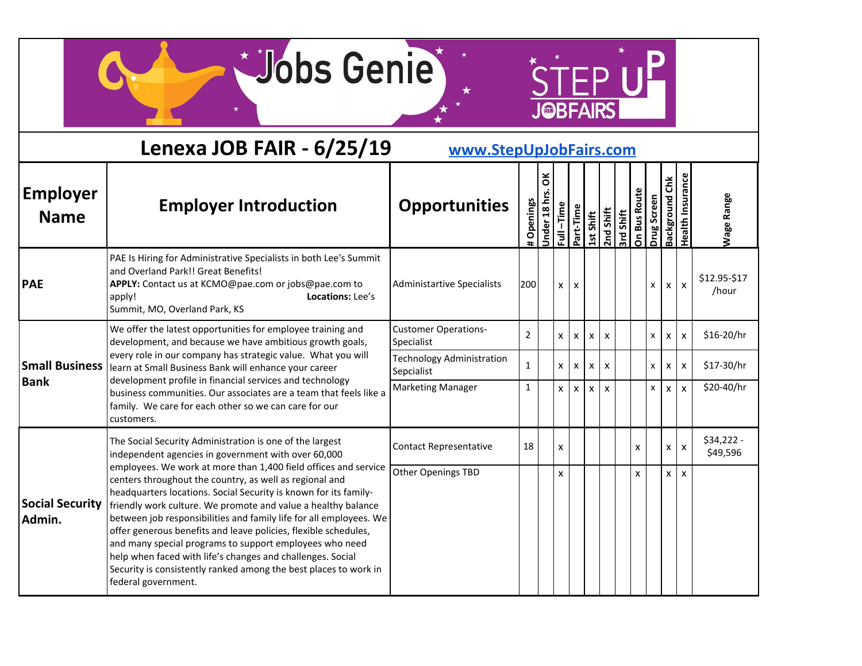Wobs Genie

 $\star$ 

STEP UP

|                                  | Lenexa JOB FAIR - 6/25/19                                                                                                                                                                                                                                                                                                                                                                                                                                                                                                                                                                                                    | www.StepUpJobFairs.com                         |                |                  |                           |                           |              |                           |                                   |   |             |                       |                    |                         |
|----------------------------------|------------------------------------------------------------------------------------------------------------------------------------------------------------------------------------------------------------------------------------------------------------------------------------------------------------------------------------------------------------------------------------------------------------------------------------------------------------------------------------------------------------------------------------------------------------------------------------------------------------------------------|------------------------------------------------|----------------|------------------|---------------------------|---------------------------|--------------|---------------------------|-----------------------------------|---|-------------|-----------------------|--------------------|-------------------------|
| <b>Employer</b><br><b>Name</b>   | <b>Employer Introduction</b>                                                                                                                                                                                                                                                                                                                                                                                                                                                                                                                                                                                                 | <b>Opportunities</b>                           | # Openings     | ă<br>Under 18 hr | $-Time$<br>$\overline{a}$ | Part-Time                 | 1st Shift    | 2nd Shift                 | <b>Strd Shift</b><br>On Bus Route |   | Drug Screen | <b>Background Chk</b> | Health Insurance   | <b>Wage Range</b>       |
| <b>PAE</b>                       | PAE Is Hiring for Administrative Specialists in both Lee's Summit<br>and Overland Park!! Great Benefits!<br>APPLY: Contact us at KCMO@pae.com or jobs@pae.com to<br>Locations: Lee's<br>apply!<br>Summit, MO, Overland Park, KS                                                                                                                                                                                                                                                                                                                                                                                              | <b>Administartive Specialists</b>              | 200            |                  | $\mathsf{x}$              | $\mathbf{x}$              |              |                           |                                   |   | x           | $\mathsf{x}$          | $\pmb{\mathsf{x}}$ | \$12.95-\$17<br>/hour   |
|                                  | We offer the latest opportunities for employee training and<br>development, and because we have ambitious growth goals,                                                                                                                                                                                                                                                                                                                                                                                                                                                                                                      | <b>Customer Operations-</b><br>Specialist      | $\overline{2}$ |                  | $\mathsf{x}$              | X                         | X            | $\boldsymbol{\mathsf{x}}$ |                                   |   | X           | X                     | $\mathsf{x}$       | \$16-20/hr              |
| <b>Small Business</b>            | every role in our company has strategic value. What you will<br>learn at Small Business Bank will enhance your career                                                                                                                                                                                                                                                                                                                                                                                                                                                                                                        | <b>Technology Administration</b><br>Sepcialist | 1              |                  | $\mathsf{x}$              | $\boldsymbol{\mathsf{x}}$ | X            | $\boldsymbol{\mathsf{x}}$ |                                   |   | <b>X</b>    | X                     | $\mathsf{x}$       | \$17-30/hr              |
| <b>Bank</b>                      | development profile in financial services and technology<br>business communities. Our associates are a team that feels like a<br>family. We care for each other so we can care for our<br>customers.                                                                                                                                                                                                                                                                                                                                                                                                                         | <b>Marketing Manager</b>                       | 1              |                  | $\mathsf{x}$              | $\mathsf{x}$              | $\mathsf{x}$ | $\mathbf{x}$              |                                   |   | X           | X                     | $\mathbf{x}$       | \$20-40/hr              |
|                                  | The Social Security Administration is one of the largest<br>independent agencies in government with over 60,000                                                                                                                                                                                                                                                                                                                                                                                                                                                                                                              | <b>Contact Representative</b>                  | 18             |                  | X                         |                           |              |                           |                                   | X |             | $\mathsf{x}$          | $\mathsf{x}$       | $$34,222 -$<br>\$49,596 |
| <b>Social Security</b><br>Admin. | employees. We work at more than 1,400 field offices and service<br>centers throughout the country, as well as regional and<br>headquarters locations. Social Security is known for its family-<br>friendly work culture. We promote and value a healthy balance<br>between job responsibilities and family life for all employees. We<br>offer generous benefits and leave policies, flexible schedules,<br>and many special programs to support employees who need<br>help when faced with life's changes and challenges. Social<br>Security is consistently ranked among the best places to work in<br>federal government. | Other Openings TBD                             |                |                  | X                         |                           |              |                           |                                   | X |             | <b>X</b>              | $\mathsf{x}$       |                         |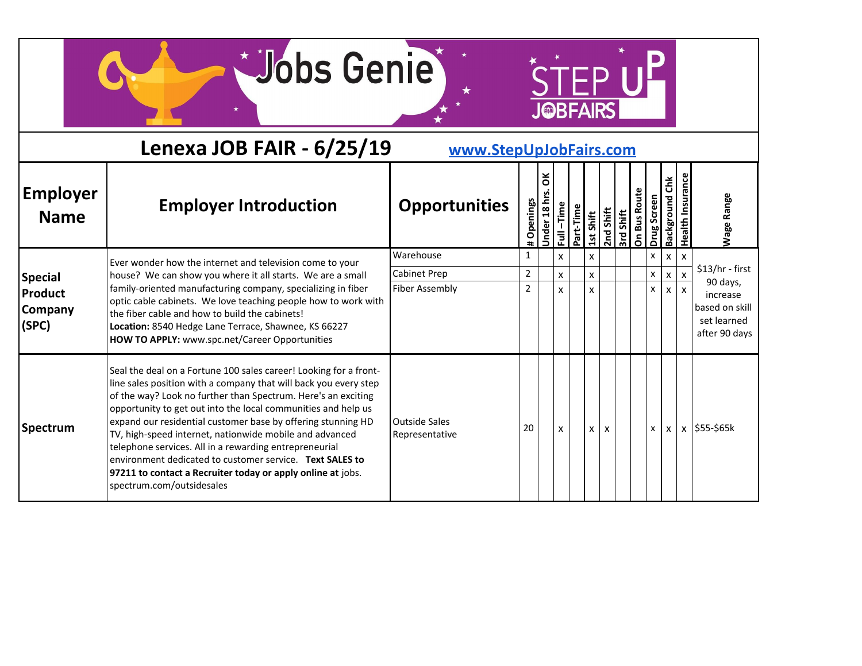STEP UP

|                                           | Lenexa JOB FAIR - 6/25/19                                                                                                                                                                                                                                                                                                                                                                                                                                                                                                                                                                                            | www.StepUpJobFairs.com                 |                |                   |                           |           |              |           |                  |              |             |                   |                           |                                                            |
|-------------------------------------------|----------------------------------------------------------------------------------------------------------------------------------------------------------------------------------------------------------------------------------------------------------------------------------------------------------------------------------------------------------------------------------------------------------------------------------------------------------------------------------------------------------------------------------------------------------------------------------------------------------------------|----------------------------------------|----------------|-------------------|---------------------------|-----------|--------------|-----------|------------------|--------------|-------------|-------------------|---------------------------|------------------------------------------------------------|
| <b>Employer</b><br><b>Name</b>            | <b>Employer Introduction</b>                                                                                                                                                                                                                                                                                                                                                                                                                                                                                                                                                                                         | <b>Opportunities</b>                   | # Openings     | ŏ<br>18h<br>Under | $-\tilde{I}$<br>$\bar{a}$ | Part-Time | 1st Shift    | 2nd Shift | <b>Srd Shift</b> | On Bus Route | Drug Screen | čhk<br>Background | Health Insuranc           | <b>Nage Range</b>                                          |
|                                           | Ever wonder how the internet and television come to your                                                                                                                                                                                                                                                                                                                                                                                                                                                                                                                                                             | Warehouse                              | $\mathbf{1}$   |                   | x                         |           | X            |           |                  |              | X           | X                 | $\boldsymbol{\mathsf{x}}$ |                                                            |
| <b>Special</b>                            | house? We can show you where it all starts. We are a small                                                                                                                                                                                                                                                                                                                                                                                                                                                                                                                                                           | Cabinet Prep                           | $\overline{2}$ |                   | X                         |           | $\mathsf{x}$ |           |                  |              | x           | x                 |                           | $$13/hr - first$<br>90 days,                               |
| <b>Product</b><br><b>Company</b><br>(SPC) | family-oriented manufacturing company, specializing in fiber<br>optic cable cabinets. We love teaching people how to work with<br>the fiber cable and how to build the cabinets!<br>Location: 8540 Hedge Lane Terrace, Shawnee, KS 66227<br>HOW TO APPLY: www.spc.net/Career Opportunities                                                                                                                                                                                                                                                                                                                           | Fiber Assembly                         | $\overline{2}$ |                   | x                         |           | X            |           |                  |              | x           |                   | X                         | increase<br>based on skill<br>set learned<br>after 90 days |
| <b>Spectrum</b>                           | Seal the deal on a Fortune 100 sales career! Looking for a front-<br>line sales position with a company that will back you every step<br>of the way? Look no further than Spectrum. Here's an exciting<br>opportunity to get out into the local communities and help us<br>expand our residential customer base by offering stunning HD<br>TV, high-speed internet, nationwide mobile and advanced<br>telephone services. All in a rewarding entrepreneurial<br>environment dedicated to customer service. Text SALES to<br>97211 to contact a Recruiter today or apply online at jobs.<br>spectrum.com/outsidesales | <b>Outside Sales</b><br>Representative | 20             |                   | X                         |           | X            | X         |                  |              | x           | X                 |                           | $x$ \$55-\$65k                                             |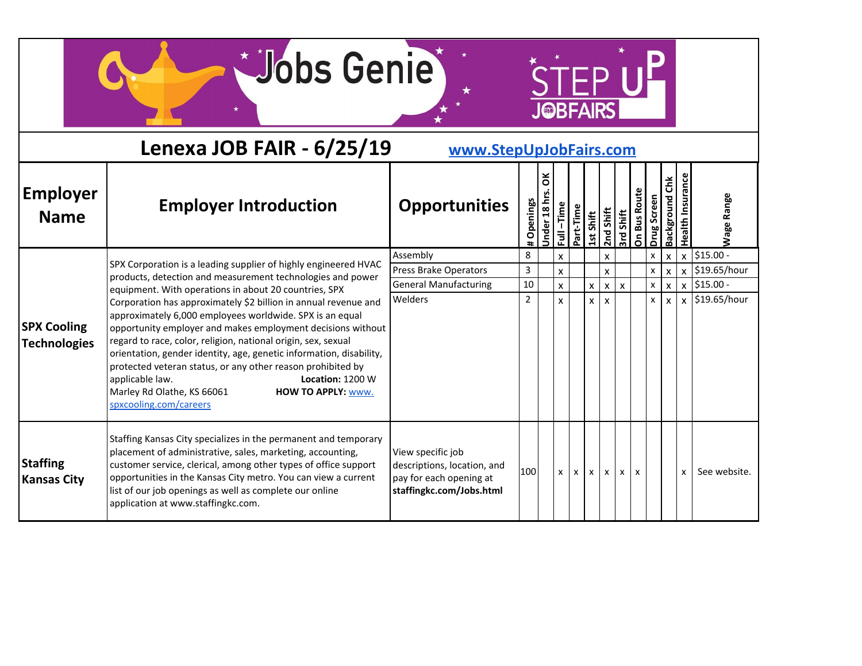STEP UP

|                                           | Lenexa JOB FAIR - 6/25/19                                                                                                                                                                                                                                                                                                                                                                                                                                                                                                     | www.StepUpJobFairs.com                                                                                  |                |                 |                           |              |              |              |           |                              |              |                        |                         |                    |
|-------------------------------------------|-------------------------------------------------------------------------------------------------------------------------------------------------------------------------------------------------------------------------------------------------------------------------------------------------------------------------------------------------------------------------------------------------------------------------------------------------------------------------------------------------------------------------------|---------------------------------------------------------------------------------------------------------|----------------|-----------------|---------------------------|--------------|--------------|--------------|-----------|------------------------------|--------------|------------------------|-------------------------|--------------------|
| <b>Employer</b><br><b>Name</b>            | <b>Employer Introduction</b>                                                                                                                                                                                                                                                                                                                                                                                                                                                                                                  | <b>Opportunities</b>                                                                                    | Openings<br>Ħ  | ă<br>Jnder 18 h | $-\tilde{I}$<br>$\bar{z}$ | Part-Time    | Shift<br>15t | $2nd$ Shift  | 3rd Shift | <b>Bus Route</b><br>$\delta$ | Drug Screen  | č<br><b>Background</b> | <b>Health Insurance</b> | <b>Nage Range</b>  |
|                                           | SPX Corporation is a leading supplier of highly engineered HVAC                                                                                                                                                                                                                                                                                                                                                                                                                                                               | Assembly                                                                                                | 8              |                 | X                         |              |              | X            |           |                              | x            | X                      | X                       | $$15.00 -$         |
|                                           | products, detection and measurement technologies and power                                                                                                                                                                                                                                                                                                                                                                                                                                                                    | Press Brake Operators                                                                                   | 3              |                 | $\mathsf{x}$              |              |              | X            |           |                              | X            | $\mathbf{x}$           |                         | $x$   \$19.65/hour |
|                                           | equipment. With operations in about 20 countries, SPX                                                                                                                                                                                                                                                                                                                                                                                                                                                                         | <b>General Manufacturing</b>                                                                            | 10             |                 | $\mathsf{x}$              |              | X            | X            | X         |                              | $\mathsf{x}$ | $\mathsf{x}$           |                         | $x$   \$15.00 -    |
| <b>SPX Cooling</b><br><b>Technologies</b> | Corporation has approximately \$2 billion in annual revenue and<br>approximately 6,000 employees worldwide. SPX is an equal<br>opportunity employer and makes employment decisions without<br>regard to race, color, religion, national origin, sex, sexual<br>orientation, gender identity, age, genetic information, disability,<br>protected veteran status, or any other reason prohibited by<br>applicable law.<br>Location: 1200 W<br>Marley Rd Olathe, KS 66061<br><b>HOW TO APPLY: WWW.</b><br>spxcooling.com/careers | Welders                                                                                                 | $\overline{2}$ |                 | $\mathsf{x}$              |              | X            | x            |           |                              | X            | X                      |                         | $x$   \$19.65/hour |
| <b>Staffing</b><br><b>Kansas City</b>     | Staffing Kansas City specializes in the permanent and temporary<br>placement of administrative, sales, marketing, accounting,<br>customer service, clerical, among other types of office support<br>opportunities in the Kansas City metro. You can view a current<br>list of our job openings as well as complete our online<br>application at www.staffingkc.com.                                                                                                                                                           | View specific job<br>descriptions, location, and<br>pay for each opening at<br>staffingkc.com/Jobs.html | 100            |                 | $\mathsf{x}$              | $\mathsf{x}$ | $\mathsf{x}$ | $\mathsf{x}$ | <b>X</b>  | X                            |              |                        | X                       | See website.       |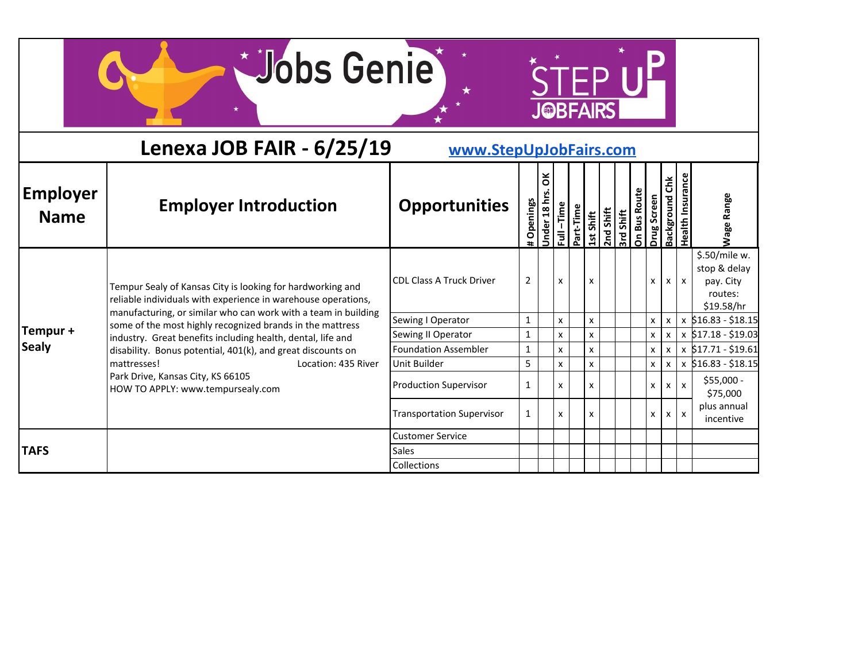Wobs Genie

 $\star$ 

 $*$ 

STEPUP

|                                | Lenexa JOB FAIR - 6/25/19                                                                                                   | www.StepUpJobFairs.com           |                   |                 |           |           |              |           |                                                |                             |                          |                           |                                                                     |
|--------------------------------|-----------------------------------------------------------------------------------------------------------------------------|----------------------------------|-------------------|-----------------|-----------|-----------|--------------|-----------|------------------------------------------------|-----------------------------|--------------------------|---------------------------|---------------------------------------------------------------------|
| <b>Employer</b><br><b>Name</b> | <b>Employer Introduction</b>                                                                                                | <b>Opportunities</b>             | Openings<br>$\pm$ | ŏ<br>Under 18 h | Full-Time | Part-Time | Shift<br>15t | 2nd Shift | Shift<br>$\overline{\mathbf{3}^{\mathsf{rd}}}$ | On Bus Route<br>Drug Screen | čhk<br><b>Background</b> | <b>Health Insurance</b>   | <b>Wage Range</b>                                                   |
|                                | Tempur Sealy of Kansas City is looking for hardworking and<br>reliable individuals with experience in warehouse operations, | <b>CDL Class A Truck Driver</b>  | $\overline{2}$    |                 | X         |           | X            |           |                                                | x                           | $\mathsf{x}$             | $\mathbf{x}$              | \$.50/mile w.<br>stop & delay<br>pay. City<br>routes:<br>\$19.58/hr |
|                                | manufacturing, or similar who can work with a team in building<br>some of the most highly recognized brands in the mattress | Sewing I Operator                | $\overline{1}$    |                 | X         |           | X            |           |                                                | X                           | X                        |                           | $x$ \$16.83 - \$18.15                                               |
| Tempur +                       | industry. Great benefits including health, dental, life and                                                                 | Sewing II Operator               | 1                 |                 | x         |           | X            |           |                                                | x                           | X                        |                           | x \$17.18 - \$19.03                                                 |
| <b>Sealy</b>                   | disability. Bonus potential, 401(k), and great discounts on                                                                 | <b>Foundation Assembler</b>      | $\mathbf{1}$      |                 | x         |           | X            |           |                                                | X                           | X                        |                           | $x$ \$17.71 - \$19.61                                               |
|                                | mattresses!<br>Location: 435 River                                                                                          | Unit Builder                     | 5                 |                 | x         |           | X            |           |                                                | x                           | x                        |                           | $x$ \$16.83 - \$18.15                                               |
|                                | Park Drive, Kansas City, KS 66105<br>HOW TO APPLY: www.tempursealy.com                                                      | <b>Production Supervisor</b>     | $\mathbf{1}$      |                 | x         |           | X            |           |                                                | x                           | X                        | $\boldsymbol{\mathsf{x}}$ | \$55,000 -<br>\$75,000                                              |
|                                |                                                                                                                             | <b>Transportation Supervisor</b> | $\mathbf{1}$      |                 | X         |           | X            |           |                                                | x                           | x                        | $\mathsf{x}$              | plus annual<br>incentive                                            |
|                                |                                                                                                                             | <b>Customer Service</b>          |                   |                 |           |           |              |           |                                                |                             |                          |                           |                                                                     |
| <b>TAFS</b>                    |                                                                                                                             | <b>Sales</b>                     |                   |                 |           |           |              |           |                                                |                             |                          |                           |                                                                     |
|                                |                                                                                                                             | Collections                      |                   |                 |           |           |              |           |                                                |                             |                          |                           |                                                                     |